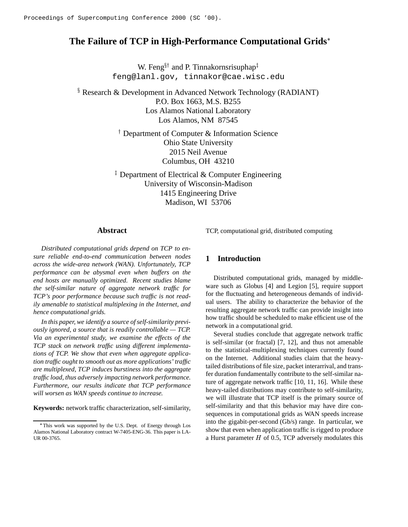# **The Failure of TCP in High-Performance Computational Grids**

W. Feng $§^{\dagger}$  and P. Tinnakornsrisuphap ${}^{\ddagger}$ feng@lanl.gov, tinnakor@cae.wisc.edu

 Research & Development in Advanced Network Technology (RADIANT) P.O. Box 1663, M.S. B255 Los Alamos National Laboratory Los Alamos, NM 87545

> - Department of Computer & Information Science Ohio State University 2015 Neil Avenue Columbus, OH 43210

 Department of Electrical & Computer Engineering University of Wisconsin-Madison 1415 Engineering Drive Madison, WI 53706

# **Abstract**

*Distributed computational grids depend on TCP to ensure reliable end-to-end communication between nodes across the wide-area network (WAN). Unfortunately, TCP performance can be abysmal even when buffers on the end hosts are manually optimized. Recent studies blame the self-similar nature of aggregate network traffic for TCP's poor performance because such traffic is not readily amenable to statistical multiplexing in the Internet, and hence computational grids.*

*In this paper, we identify a source of self-similarity previously ignored, a source that is readily controllable — TCP. Via an experimental study, we examine the effects of the TCP stack on network traffic using different implementations of TCP. We show that even when aggregate application traffic ought to smooth out as more applications' traffic are multiplexed, TCP induces burstiness into the aggregate traffic load, thus adversely impacting network performance. Furthermore, our results indicate that TCP performance will worsen as WAN speeds continue to increase.*

**Keywords:** network traffic characterization, self-similarity,

TCP, computational grid, distributed computing

## **1 Introduction**

Distributed computational grids, managed by middleware such as Globus [4] and Legion [5], require support for the fluctuating and heterogeneous demands of individual users. The ability to characterize the behavior of the resulting aggregate network traffic can provide insight into how traffic should be scheduled to make efficient use of the network in a computational grid.

Several studies conclude that aggregate network traffic is self-similar (or fractal) [7, 12], and thus not amenable to the statistical-multiplexing techniques currently found on the Internet. Additional studies claim that the heavytailed distributions of file size, packet interarrival, and transfer duration fundamentally contribute to the self-similar nature of aggregate network traffic [10, 11, 16]. While these heavy-tailed distributions may contribute to self-similarity, we will illustrate that TCP itself is the primary source of self-similarity and that this behavior may have dire consequences in computational grids as WAN speeds increase into the gigabit-per-second (Gb/s) range. In particular, we show that even when application traffic is rigged to produce a Hurst parameter  $H$  of 0.5, TCP adversely modulates this

This work was supported by the U.S. Dept. of Energy through Los Alamos National Laboratory contract W-7405-ENG-36. This paper is LA-UR 00-3765.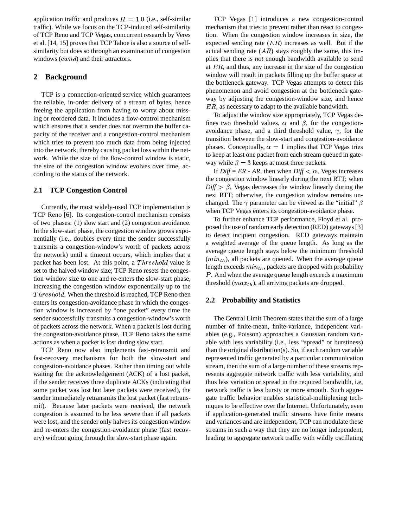application traffic and produces  $H = 1.0$  (i.e., self-similar traffic). While we focus on the TCP-induced self-similarity of TCP Reno and TCP Vegas, concurrent research by Veres et al. [14, 15] proves that TCP Tahoe is also a source of selfsimilarity but does so through an examination of congestion windows  $(cwnd)$  and their attractors.

# **2 Background**

TCP is a connection-oriented service which guarantees the reliable, in-order delivery of a stream of bytes, hence freeing the application from having to worry about missing or reordered data. It includes a flow-control mechanism which ensures that a sender does not overrun the buffer capacity of the receiver and a congestion-control mechanism which tries to prevent too much data from being injected into the network, thereby causing packet loss within the network. While the size of the flow-control window is static, the size of the congestion window evolves over time, according to the status of the network.

## **2.1 TCP Congestion Control**

Currently, the most widely-used TCP implementation is TCP Reno [6]. Its congestion-control mechanism consists of two phases: (1) slow start and (2) congestion avoidance. In the slow-start phase, the congestion window grows exponentially (i.e., doubles every time the sender successfully transmits a congestion-window's worth of packets across the network) until a timeout occurs, which implies that a packet has been lost. At this point, a  $Threshold$  value is set to the halved window size; TCP Reno resets the congestion window size to one and re-enters the slow-start phase, increasing the congestion window exponentially up to the Threshold. When the threshold is reached, TCP Reno then enters its congestion-avoidance phase in which the congestion window is increased by "one packet" every time the sender successfully transmits a congestion-window's worth of packets across the network. When a packet is lost during the congestion-avoidance phase, TCP Reno takes the same actions as when a packet is lost during slow start.

TCP Reno now also implements fast-retransmit and fast-recovery mechanisms for both the slow-start and congestion-avoidance phases. Rather than timing out while waiting for the acknowledgement (ACK) of a lost packet, if the sender receives three duplicate ACKs (indicating that some packet was lost but later packets were received), the sender immediately retransmits the lost packet (fast retransmit). Because later packets were received, the network congestion is assumed to be less severe than if all packets were lost, and the sender only halves its congestion window and re-enters the congestion-avoidance phase (fast recovery) without going through the slow-start phase again.

TCP Vegas [1] introduces a new congestion-control mechanism that tries to prevent rather than react to congestion. When the congestion window increases in size, the expected sending rate  $(ER)$  increases as well. But if the actual sending rate  $(AR)$  stays roughly the same, this implies that there is *not* enough bandwidth available to send at  $ER$ , and thus, any increase in the size of the congestion window will result in packets filling up the buffer space at the bottleneck gateway. TCP Vegas attempts to detect this phenomenon and avoid congestion at the bottleneck gateway by adjusting the congestion-window size, and hence  $ER$ , as necessary to adapt to the available bandwidth.

To adjust the window size appropriately, TCP Vegas defines two threshold values,  $\alpha$  and  $\beta$ , for the congestionavoidance phase, and a third threshold value,  $\gamma$ , for the transition between the slow-start and congestion-avoidance phases. Conceptually,  $\alpha = 1$  implies that TCP Vegas tries to keep at least one packet from each stream queued in gateway while  $\beta = 3$  keeps at most three packets.

If  $Diff = ER - AR$ , then when  $Diff < \alpha$ , Vegas increases the congestion window linearly during the next RTT; when  $Diff > \beta$ , Vegas decreases the window linearly during the next RTT; otherwise, the congestion window remains unchanged. The  $\gamma$  parameter can be viewed as the "initial"  $\beta$ when TCP Vegas enters its congestion-avoidance phase.

To further enhance TCP performance, Floyd et al. proposed the use of random early detection (RED) gateways[3] to detect incipient congestion. RED gateways maintain a weighted average of the queue length. As long as the average queue length stays below the minimum threshold  $(min<sub>th</sub>)$ , all packets are queued. When the average queue length exceeds  $min_{th}$ , packets are dropped with probability P. And when the average queue length exceeds a maximum threshold  $(max<sub>th</sub>)$ , all arriving packets are dropped.

## **2.2 Probability and Statistics**

The Central Limit Theorem states that the sum of a large number of finite-mean, finite-variance, independent variables (e.g., Poisson) approaches a Gaussian random variable with less variability (i.e., less "spread" or burstiness) than the original distribution(s). So, if each random variable represented traffic generated by a particular communication stream, then the sum of a large number of these streams represents aggregate network traffic with less variability, and thus less variation or spread in the required bandwidth, i.e, network traffic is less bursty or more smooth. Such aggregate traffic behavior enables statistical-multiplexing techniques to be effective over the Internet. Unfortunately, even if application-generated traffic streams have finite means and variances and are independent, TCP can modulate these streams in such a way that they are no longer independent, leading to aggregate network traffic with wildly oscillating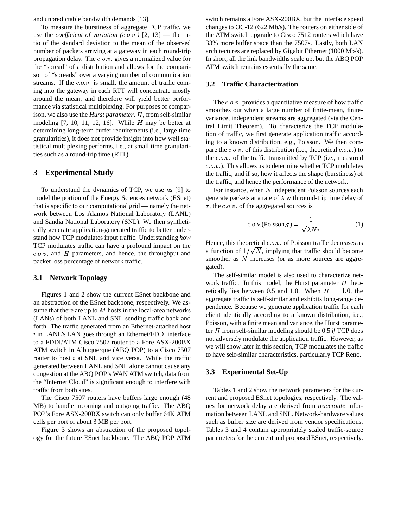and unpredictable bandwidth demands [13].

To measure the burstiness of aggregate TCP traffic, we use the *coefficient* of *variation*  $(c.o.v.)$  [2, 13] — the ratio of the standard deviation to the mean of the observed number of packets arriving at a gateway in each round-trip propagation delay. The  $c.o.v.$  gives a normalized value for the "spread" of a distribution and allows for the comparison of "spreads" over a varying number of communication streams. If the  $c.o.v.$  is small, the amount of traffic coming into the gateway in each RTT will concentrate mostly around the mean, and therefore will yield better performance via statistical multiplexing. For purposes of comparison, we also use the *Hurst parameter*, *H*, from self-similar modeling [7, 10, 11, 12, 16]. While  $H$  may be better at determining long-term buffer requirements (i.e., large time granularities), it does not provide insight into how well statistical multiplexing performs, i.e., at small time granularities such as a round-trip time (RTT).

## **3 Experimental Study**

To understand the dynamics of TCP, we use *ns* [9] to model the portion of the Energy Sciences network (ESnet) that is specific to our computational grid — namely the network between Los Alamos National Laboratory (LANL) and Sandia National Laboratory (SNL). We then synthetically generate application-generated traffic to better understand how TCP modulates input traffic. Understanding *how* TCP modulates traffic can have a profound impact on the  $c.o.v.$  and  $H$  parameters, and hence, the throughput and packet loss percentage of network traffic.

#### **3.1 Network Topology**

Figures 1 and 2 show the current ESnet backbone and an abstraction of the ESnet backbone, respectively. We assume that there are up to  $M$  hosts in the local-area networks (LANs) of both LANL and SNL sending traffic back and forth. The traffic generated from an Ethernet-attached host  $i$  in LANL's LAN goes through an Ethernet/FDDI interface to a FDDI/ATM Cisco 7507 router to a Fore ASX-200BX ATM switch in Albuquerque (ABQ POP) to a Cisco 7507 router to host  $i$  at SNL and vice versa. While the traffic generated between LANL and SNL alone cannot cause any congestion at the ABQ POP's WAN ATM switch, data from the "Internet Cloud" is significant enough to interfere with traffic from both sites.

The Cisco 7507 routers have buffers large enough (48 MB) to handle incoming and outgoing traffic. The ABQ POP's Fore ASX-200BX switch can only buffer 64K ATM cells per port or about 3 MB per port.

Figure 3 shows an abstraction of the proposed topology for the future ESnet backbone. The ABQ POP ATM switch remains a Fore ASX-200BX, but the interface speed changes to OC-12 (622 Mb/s). The routers on either side of the ATM switch upgrade to Cisco 7512 routers which have 33% more buffer space than the 7507s. Lastly, both LAN architectures are replaced by Gigabit Ethernet (1000 Mb/s). In short, all the link bandwidths scale up, but the ABQ POP ATM switch remains essentially the same.

#### **3.2 Traffic Characterization**

The  $c.o.v.$  provides a quantitative measure of how traffic smoothes out when a large number of finite-mean, finitevariance, independent streams are aggregated (via the Central Limit Theorem). To characterize the TCP modulation of traffic, we first generate application traffic according to a known distribution, e.g., Poisson. We then compare the  $c.o.v.$  of this distribution (i.e., theoretical  $c.o.v.$ ) to the  $c.o.v.$  of the traffic transmitted by TCP (i.e., measured  $c.o.v.$ ). This allows us to determine whether TCP modulates the traffic, and if so, how it affects the shape (burstiness) of the traffic, and hence the performance of the network.

For instance, when  $N$  independent Poisson sources each generate packets at a rate of  $\lambda$  with round-trip time delay of  $\tau$ , the c.o.v. of the aggregated sources is

$$
\text{c.o.v.}(\text{Poisson}, \tau) = \frac{1}{\sqrt{\lambda N \tau}}\tag{1}
$$

Hence, this theoretical  $c.o.v.$  of Poisson traffic decreases as a function of  $1/\sqrt{N}$ , implying that traffic should become smoother as  $N$  increases (or as more sources are aggregated).

The self-similar model is also used to characterize network traffic. In this model, the Hurst parameter  $H$  theoretically lies between 0.5 and 1.0. When  $H = 1.0$ , the aggregate traffic is self-similar and exhibits long-range dependence. Because we generate application traffic for each client identically according to a known distribution, i.e., Poisson, with a finite mean and variance, the Hurst parameter *H* from self-similar modeling should be 0.5 *if* TCP does not adversely modulate the application traffic. However, as we will show later in this section, TCP modulates the traffic to have self-similar characteristics, particularly TCP Reno.

## **3.3 Experimental Set-Up**

Tables 1 and 2 show the network parameters for the current and proposed ESnet topologies, respectively. The values for network delay are derived from *traceroute* information between LANL and SNL. Network-hardware values such as buffer size are derived from vendor specifications. Tables 3 and 4 contain appropriately scaled traffic-source parameters for the current and proposed ESnet, respectively.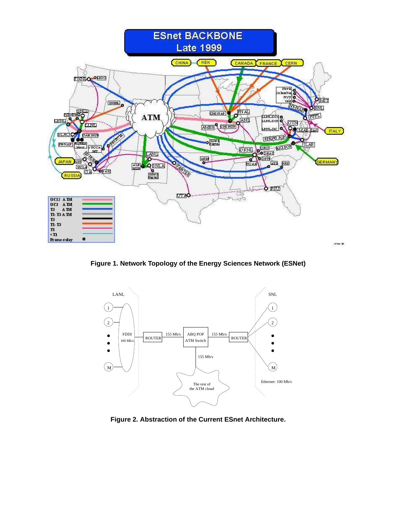

**Figure 1. Network Topology of the Energy Sciences Network (ESNet)**



**Figure 2. Abstraction of the Current ESnet Architecture.**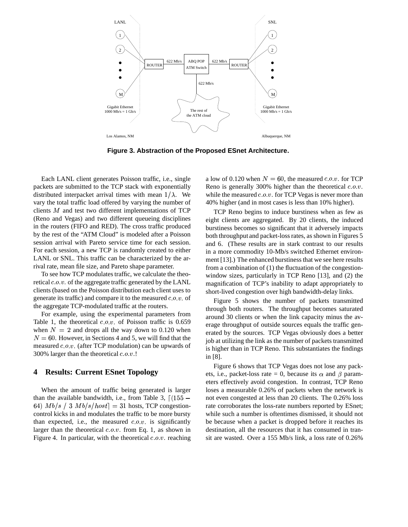

**Figure 3. Abstraction of the Proposed ESnet Architecture.**

Each LANL client generates Poisson traffic, i.e., single packets are submitted to the TCP stack with exponentially distributed interpacket arrival times with mean  $1/\lambda$ . We vary the total traffic load offered by varying the number of clients  $M$  and test two different implementations of TCP (Reno and Vegas) and two different queueing disciplines in the routers (FIFO and RED). The cross traffic produced by the rest of the "ATM Cloud" is modeled after a Poisson session arrival with Pareto service time for each session. For each session, a new TCP is randomly created to either LANL or SNL. This traffic can be characterized by the arrival rate, mean file size, and Pareto shape parameter.

To see how TCP modulates traffic, we calculate the theoretical  $c.o.v.$  of the aggregate traffic generated by the LANL clients (based on the Poisson distribution each client uses to generate its traffic) and compare it to the measured  $c.o.v.$  of the aggregate TCP-modulated traffic at the routers.

For example, using the experimental parameters from Table 1, the theoretical  $c.o.v.$  of Poisson traffic is  $0.659$ when  $N = 2$  and drops all the way down to 0.120 when  $N = 60$ . However, in Sections 4 and 5, we will find that the measured  $c.o.v.$  (after TCP modulation) can be upwards of 300% larger than the theoretical  $c.o.v.$ !

## **4 Results: Current ESnet Topology**

When the amount of traffic being generated is larger than the available bandwidth, i.e., from Table 3,  $\left[ (155 -$ 64)  $Mb/s / 3 Mb/s/host$  = 31 hosts, TCP congestioncontrol kicks in and modulates the traffic to be more bursty than expected, i.e., the measured  $c.o.v.$  is significantly larger than the theoretical  $c.o.v.$  from Eq. 1, as shown in Figure 4. In particular, with the theoretical  $c.o.v.$  reaching

a low of 0.120 when  $N = 60$ , the measured c.o.v. for TCP Reno is generally 300% higher than the theoretical  $c.o.v.$ while the measured  $c.o.v.$  for TCP Vegas is never more than 40% higher (and in most cases is less than 10% higher).

TCP Reno begins to induce burstiness when as few as eight clients are aggregated. By 20 clients, the induced burstiness becomes so significant that it adversely impacts both throughput and packet-lossrates, as shown in Figures 5 and 6. (These results are in stark contrast to our results in a more commodity 10-Mb/s switched Ethernet environment [13].) The enhanced burstiness that we see here results from a combination of (1) the fluctuation of the congestionwindow sizes, particularly in TCP Reno [13], and (2) the magnification of TCP's inability to adapt appropriately to short-lived congestion over high bandwidth-delay links.

Figure 5 shows the number of packets transmitted through both routers. The throughput becomes saturated around 30 clients or when the link capacity minus the average throughput of outside sources equals the traffic generated by the sources. TCP Vegas obviously does a better job at utilizing the link as the number of packets transmitted is higher than in TCP Reno. This substantiates the findings in [8].

 not even congested at less than 20 clients. The 0.26% loss Figure 6 shows that TCP Vegas does not lose any packets, i.e., packet-loss rate = 0, because its  $\alpha$  and  $\beta$  parameters effectively avoid congestion. In contrast, TCP Reno loses a measurable 0.26% of packets when the network is rate corroborates the loss-rate numbers reported by ESnet; while such a number is oftentimes dismissed, it should not be because when a packet is dropped before it reaches its destination, all the resources that it has consumed in transit are wasted. Over a 155 Mb/s link, a loss rate of 0.26%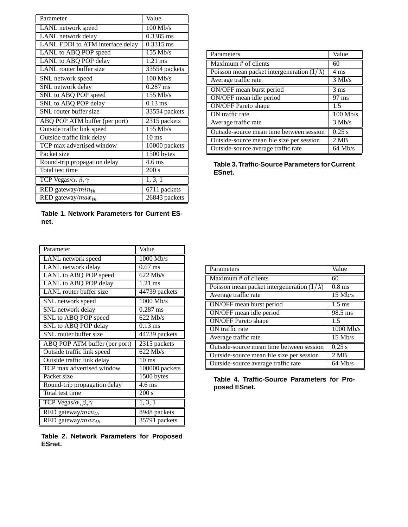| Parameter                          | Value           |
|------------------------------------|-----------------|
| LANL network speed                 | $100$ Mb/s      |
| LANL network delay                 | $0.3385$ ms     |
| LANL FDDI to ATM interface delay   | $0.3315$ ms     |
| LANL to ABQ POP speed              | $155$ Mb/s      |
| LANL to ABQ POP delay              | $1.21$ ms       |
| <b>LANL</b> router buffer size     | 33554 packets   |
| SNL network speed                  | $100$ Mb/s      |
| SNL network delay                  | $0.287$ ms      |
| SNL to ABQ POP speed               | 155 Mb/s        |
| SNL to ABQ POP delay               | $0.13$ ms       |
| SNL router buffer size             | 33554 packets   |
| ABQ POP ATM buffer (per port)      | $2315$ packets  |
| Outside traffic link speed         | $155$ Mb/s      |
| Outside traffic link delay         | $10 \text{ ms}$ |
| TCP max advertised window          | 10000 packets   |
| Packet size                        | 1500 bytes      |
| Round-trip propagation delay       | 4.6 ms          |
| Total test time                    | 200 s           |
| TCP Vegas/ $\alpha, \beta, \gamma$ | 1, 3, 1         |
| RED gateway/ $min_{th}$            | 6711 packets    |
| RED gateway/ $max_{th}$            | 26843 packets   |

|      |  | Table 1. Network Parameters for Current ES- |  |  |
|------|--|---------------------------------------------|--|--|
| net. |  |                                             |  |  |

| Parameter                                   | Value           |
|---------------------------------------------|-----------------|
| LANL network speed                          | 1000 Mb/s       |
| LANL network delay                          | $0.67$ ms       |
| LANL to ABQ POP speed                       | $622$ Mb/s      |
| LANL to ABQ POP delay                       | $1.21$ ms       |
| LANL router buffer size                     | 44739 packets   |
| SNL network speed                           | 1000 Mb/s       |
| SNL network delay                           | $0.287$ ms      |
| SNL to ABQ POP speed                        | $622$ Mb/s      |
| SNL to ABQ POP delay                        | $0.13$ ms       |
| SNL router buffer size                      | 44739 packets   |
| ABQ POP ATM buffer (per port)               | 2315 packets    |
| Outside traffic link speed                  | $622$ Mb/s      |
| Outside traffic link delay                  | $10 \text{ ms}$ |
| TCP max advertised window                   | 100000 packets  |
| Packet size                                 | $1500$ bytes    |
| Round-trip propagation delay                | 4.6 ms          |
| Total test time                             | 200 s           |
| TCP Vegas/ $\alpha, \beta, \gamma$          | 1, 3, 1         |
| $\overline{\text{RED}}$ gateway/ $min_{th}$ | 8948 packets    |
| $\overline{\text{RED}}$ gateway/ $max_{th}$ | 35791 packets   |

**Table 2. Network Parameters for Proposed ESnet.**

| Parameters                                        | Value          |
|---------------------------------------------------|----------------|
| Maximum # of clients                              | 60             |
| Poisson mean packet intergeneration $(1/\lambda)$ | 4 ms           |
| Average traffic rate                              | $3$ Mb/s       |
| ON/OFF mean burst period                          | $3 \text{ ms}$ |
| ON/OFF mean idle period                           | 97 ms          |
| <b>ON/OFF</b> Pareto shape                        | 1.5            |
| ON traffic rate                                   | $100$ Mb/s     |
| Average traffic rate                              | $3$ Mb/s       |
| Outside-source mean time between session          | 0.25 s         |
| Outside-source mean file size per session         | 2MB            |
| Outside-source average traffic rate               | $64$ Mb/s      |

**Table 3. Traffic-Source Parameters for Current ESnet.**

| Parameters                                        | Value            |
|---------------------------------------------------|------------------|
| Maximum # of clients                              | 60               |
| Poisson mean packet intergeneration $(1/\lambda)$ | $0.8$ ms         |
| Average traffic rate                              | $15$ Mb/s        |
| ON/OFF mean burst period                          | $1.5 \text{ ms}$ |
| ON/OFF mean idle period                           | 98.5 ms          |
| <b>ON/OFF Pareto shape</b>                        | 1.5              |
| ON traffic rate                                   | 1000 Mb/s        |
| Average traffic rate                              | $15$ Mb/s        |
| Outside-source mean time between session          | 0.25 s           |
| Outside-source mean file size per session         | 2MB              |
| Outside-source average traffic rate               | $64$ Mb/s        |

**Table 4. Traffic-Source Parameters for Proposed ESnet.**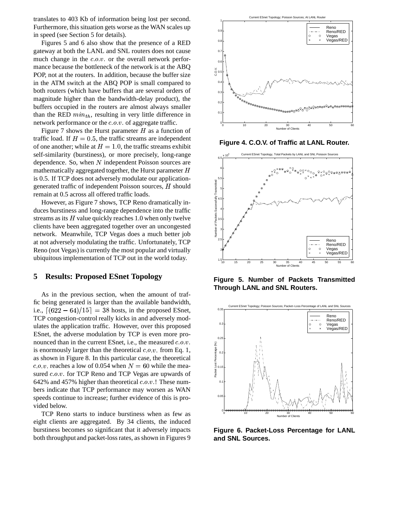translates to 403 Kb of information being lost per second. Furthermore, this situation gets worse as the WAN scales up in speed (see Section 5 for details).

Figures 5 and 6 also show that the presence of a RED gateway at both the LANL and SNL routers does not cause much change in the  $c.o.v.$  or the overall network performance because the bottleneck of the network is at the ABQ POP, not at the routers. In addition, because the buffer size in the ATM switch at the ABQ POP is small compared to both routers (which have buffers that are several orders of magnitude higher than the bandwidth-delay product), the buffers occupied in the routers are almost always smaller than the RED  $min_{th}$ , resulting in very little difference in network performance or the  $c.o.v.$  of aggregate traffic.

Figure 7 shows the Hurst parameter  $H$  as a function of traffic load. If  $H = 0.5$ , the traffic streams are independent of one another; while at  $H = 1.0$ , the traffic streams exhibit self-similarity (burstiness), or more precisely, long-range dependence. So, when  $N$  independent Poisson sources are mathematically aggregated together, the Hurst parameter  $H$ is 0.5. If TCP does not adversely modulate our applicationgenerated traffic of independent Poisson sources,  $H$  should<br>remain at 0.5 across all offered traffic loads. remain at 0.5 across all offered traffic loads.

However, as Figure 7 shows, TCP Reno dramatically induces burstiness and long-range dependence into the traffic streams as its  $H$  value quickly reaches 1.0 when only twelve clients have been aggregated together over an uncongested network. Meanwhile, TCP Vegas does a much better job at not adversely modulating the traffic. Unfortunately, TCP Reno (not Vegas) is currently the most popular and virtually ubiquitous implementation of TCP out in the world today.

## **5 Results: Proposed ESnet Topology**

As in the previous section, when the amount of traffic being generated is larger than the available bandwidth, i.e.,  $[(622 - 64)/15] = 38$  hosts, in the proposed ESnet, TCP congestion-control really kicks in and adversely modulates the application traffic. However, over this proposed ESnet, the adverse modulation by TCP is even more pronounced than in the current ESnet, i.e., the measured  $c.o.v.$ is enormously larger than the theoretical  $c.o.v.$  from Eq. 1, as shown in Figure 8. In this particular case, the theoretical c.o.v. reaches a low of 0.054 when  $N = 60$  while the measured  $c.o.v.$  for TCP Reno and TCP Vegas are upwards of 642% and 457% higher than theoretical  $c.o.v.$ ! These numbers indicate that TCP performance may worsen as WAN speeds continue to increase; further evidence of this is provided below.

TCP Reno starts to induce burstiness when as few as eight clients are aggregated. By 34 clients, the induced burstiness becomes so significant that it adversely impacts both throughput and packet-lossrates, as shown in Figures 9



**Figure 4. C.O.V. of Traffic at LANL Router.**



**Figure 5. Number of Packets Transmitted Through LANL and SNL Routers.**



**Figure 6. Packet-Loss Percentage for LANL and SNL Sources.**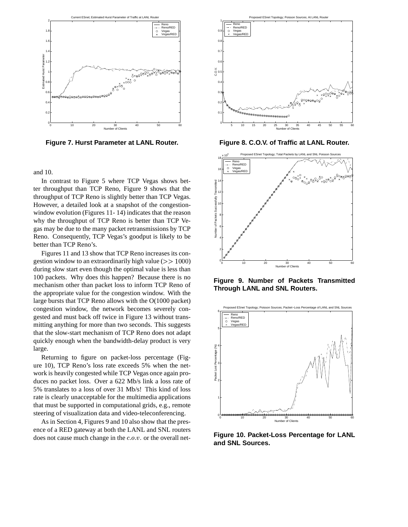

**Figure 7. Hurst Parameter at LANL Router.**

and 10.

In contrast to Figure 5 where TCP Vegas shows better throughput than TCP Reno, Figure 9 shows that the throughput of TCP Reno is slightly better than TCP Vegas. However, a detailed look at a snapshot of the congestionwindow evolution (Figures 11- 14) indicates that the reason why the throughput of TCP Reno is better than TCP Vegas may be due to the many packet retransmissions by TCP Reno. Consequently, TCP Vegas's goodput is likely to be better than TCP Reno's.

Figures 11 and 13 show that TCP Reno increases its congestion window to an extraordinarily high value  $(>> 1000)$ during slow start even though the optimal value is less than 100 packets. Why does this happen? Because there is no mechanism other than packet loss to inform TCP Reno of the appropriate value for the congestion window. With the large bursts that TCP Reno allows with the O(1000 packet) congestion window, the network becomes severely congested and must back off twice in Figure 13 without transmitting anything for more than two seconds. This suggests that the slow-start mechanism of TCP Reno does not adapt quickly enough when the bandwidth-delay product is very large.

Returning to figure on packet-loss percentage (Figure 10), TCP Reno's loss rate exceeds 5% when the network is heavily congested while TCP Vegas once again produces no packet loss. Over a 622 Mb/s link a loss rate of 5% translates to a loss of over 31 Mb/s! This kind of loss rate is clearly unacceptable for the multimedia applications that must be supported in computational grids, e.g., remote steering of visualization data and video-teleconferencing.

As in Section 4, Figures 9 and 10 also show that the presence of a RED gateway at both the LANL and SNL routers does not cause much change in the  $c.o.v.$  or the overall net-



**Figure 8. C.O.V. of Traffic at LANL Router.**



**Figure 9. Number of Packets Transmitted Through LANL and SNL Routers.**



**Figure 10. Packet-Loss Percentage for LANL and SNL Sources.**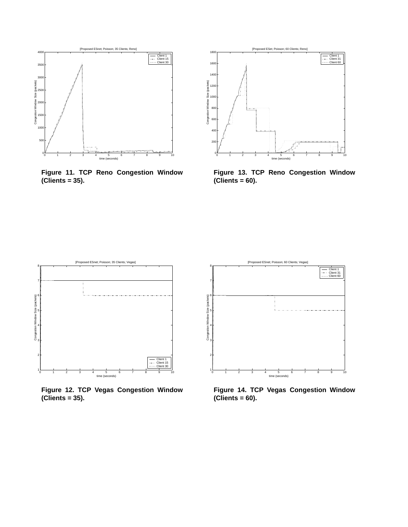

**Figure 11. TCP Reno Congestion Window (Clients = 35).**



**Figure 13. TCP Reno Congestion Window (Clients = 60).**



**Figure 12. TCP Vegas Congestion Window (Clients = 35).**



**Figure 14. TCP Vegas Congestion Window (Clients = 60).**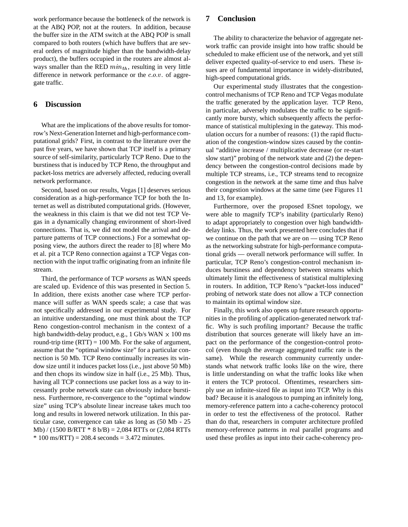work performance because the bottleneck of the network is at the ABQ POP, not at the routers. In addition, because the buffer size in the ATM switch at the ABQ POP is small compared to both routers (which have buffers that are several orders of magnitude higher than the bandwidth-delay product), the buffers occupied in the routers are almost always smaller than the RED  $min_{th}$ , resulting in very little difference in network performance or the  $c.o.v.$  of aggregate traffic.

## **6 Discussion**

What are the implications of the above results for tomorrow's Next-Generation Internet and high-performance computational grids? First, in contrast to the literature over the past five years, we have shown that TCP itself is a primary source of self-similarity, particularly TCP Reno. Due to the burstiness that is induced by TCP Reno, the throughput and packet-loss metrics are adversely affected, reducing overall network performance.

Second, based on our results, Vegas [1] deserves serious consideration as a high-performance TCP for both the Internet as well as distributed computational grids. (However, the weakness in this claim is that we did not test TCP Vegas in a dynamically changing environment of short-lived connections. That is, we did not model the arrival and departure patterns of TCP connections.) For a somewhat opposing view, the authors direct the reader to [8] where Mo et al. pit a TCP Reno connection against a TCP Vegas connection with the input traffic originating from an infinite file stream.

Third, the performance of TCP *worsens* as WAN speeds are scaled up. Evidence of this was presented in Section 5. In addition, there exists another case where TCP performance will suffer as WAN speeds scale; a case that was not specifically addressed in our experimental study. For an intuitive understanding, one must think about the TCP Reno congestion-control mechanism in the context of a high bandwidth-delay product, e.g., 1 Gb/s WAN  $\times$  100 ms round-trip time  $(RTT) = 100$  Mb. For the sake of argument, assume that the "optimal window size" for a particular connection is 50 Mb. TCP Reno continually increases its window size until it induces packet loss (i.e., just above 50 Mb) and then chops its window size in half (i.e., 25 Mb). Thus, having all TCP connections use packet loss as a way to incessantly probe network state can obviously induce burstiness. Furthermore, re-convergence to the "optimal window size" using TCP's absolute linear increase takes much too long and results in lowered network utilization. In this particular case, convergence can take as long as (50 Mb - 25 Mb) / (1500 B/RTT  $* 8 b/B$ ) = 2,084 RTTs or (2,084 RTTs  $* 100$  ms/RTT) = 208.4 seconds = 3.472 minutes.

## **7 Conclusion**

The ability to characterize the behavior of aggregate network traffic can provide insight into how traffic should be scheduled to make efficient use of the network, and yet still deliver expected quality-of-service to end users. These issues are of fundamental importance in widely-distributed, high-speed computational grids.

Our experimental study illustrates that the congestioncontrol mechanisms of TCP Reno and TCP Vegas modulate the traffic generated by the application layer. TCP Reno, in particular, adversely modulates the traffic to be significantly more bursty, which subsequently affects the performance of statistical multiplexing in the gateway. This modulation occurs for a number of reasons: (1) the rapid fluctuation of the congestion-window sizes caused by the continual "additive increase / multiplicative decrease (or re-start slow start)" probing of the network state and (2) the dependency between the congestion-control decisions made by multiple TCP streams, i.e., TCP streams tend to recognize congestion in the network at the same time and thus halve their congestion windows at the same time (see Figures 11 and 13, for example).

Furthermore, over the proposed ESnet topology, we were able to magnify TCP's inability (particularly Reno) to adapt appropriately to congestion over high bandwidthdelay links. Thus, the work presented here concludes that if we continue on the path that we are on — using TCP Reno as the networking substrate for high-performance computational grids — overall network performance will suffer. In particular, TCP Reno's congestion-control mechanism induces burstiness and dependency between streams which ultimately limit the effectiveness of statistical multiplexing in routers. In addition, TCP Reno's "packet-loss induced" probing of network state does not allow a TCP connection to maintain its optimal window size.

Finally, this work also opens up future research opportunities in the profiling of application-generated network traffic. Why is such profiling important? Because the traffic distribution that sources generate will likely have an impact on the performance of the congestion-control protocol (even though the average aggregated traffic rate is the same). While the research community currently understands what network traffic looks like on the wire, there is little understanding on what the traffic looks like when it enters the TCP protocol. Oftentimes, researchers simply use an infinite-sized file as input into TCP. Why is this bad? Because it is analogous to pumping an infinitely long, memory-reference pattern into a cache-coherency protocol in order to test the effectiveness of the protocol. Rather than do that, researchers in computer architecture profiled memory-reference patterns in real parallel programs and used these profiles as input into their cache-coherency pro